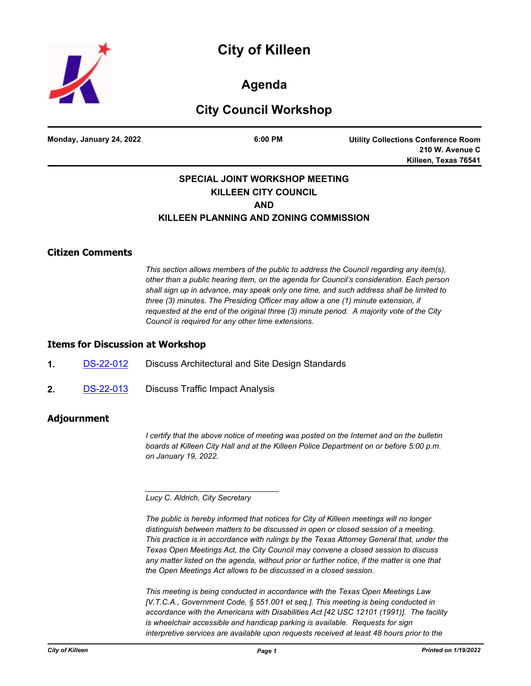



**Agenda**

# **City Council Workshop**

**Monday, January 24, 2022 6:00 PM**

**Utility Collections Conference Room 210 W. Avenue C Killeen, Texas 76541**

## **SPECIAL JOINT WORKSHOP MEETING KILLEEN CITY COUNCIL AND KILLEEN PLANNING AND ZONING COMMISSION**

### **Citizen Comments**

*This section allows members of the public to address the Council regarding any item(s), other than a public hearing item, on the agenda for Council's consideration. Each person shall sign up in advance, may speak only one time, and such address shall be limited to three (3) minutes. The Presiding Officer may allow a one (1) minute extension, if requested at the end of the original three (3) minute period. A majority vote of the City Council is required for any other time extensions.*

#### **Items for Discussion at Workshop**

- **1.** [DS-22-012](http://killeen.legistar.com/gateway.aspx?m=l&id=/matter.aspx?key=5946) Discuss Architectural and Site Design Standards
- **2.** [DS-22-013](http://killeen.legistar.com/gateway.aspx?m=l&id=/matter.aspx?key=5955) Discuss Traffic Impact Analysis

#### **Adjournment**

*I* certify that the above notice of meeting was posted on the Internet and on the bulletin *boards at Killeen City Hall and at the Killeen Police Department on or before 5:00 p.m. on January 19, 2022.*

*Lucy C. Aldrich, City Secretary* 

*\_\_\_\_\_\_\_\_\_\_\_\_\_\_\_\_\_\_\_\_\_\_\_\_\_\_\_\_\_\_\_*

*The public is hereby informed that notices for City of Killeen meetings will no longer distinguish between matters to be discussed in open or closed session of a meeting. This practice is in accordance with rulings by the Texas Attorney General that, under the Texas Open Meetings Act, the City Council may convene a closed session to discuss*  any matter listed on the agenda, without prior or further notice, if the matter is one that *the Open Meetings Act allows to be discussed in a closed session.*

*This meeting is being conducted in accordance with the Texas Open Meetings Law [V.T.C.A., Government Code, § 551.001 et seq.]. This meeting is being conducted in accordance with the Americans with Disabilities Act [42 USC 12101 (1991)]. The facility is wheelchair accessible and handicap parking is available. Requests for sign interpretive services are available upon requests received at least 48 hours prior to the*